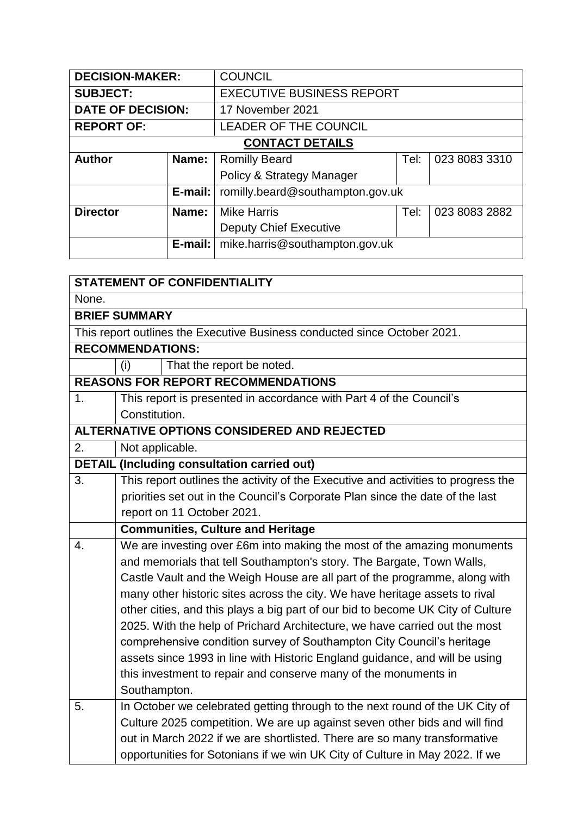| <b>DECISION-MAKER:</b> |                                              | <b>COUNCIL</b>                   |      |               |
|------------------------|----------------------------------------------|----------------------------------|------|---------------|
| <b>SUBJECT:</b>        |                                              | <b>EXECUTIVE BUSINESS REPORT</b> |      |               |
|                        | <b>DATE OF DECISION:</b><br>17 November 2021 |                                  |      |               |
| <b>REPORT OF:</b>      |                                              | <b>LEADER OF THE COUNCIL</b>     |      |               |
| <b>CONTACT DETAILS</b> |                                              |                                  |      |               |
| <b>Author</b>          | Name:                                        | <b>Romilly Beard</b>             | Tel: | 023 8083 3310 |
|                        | Policy & Strategy Manager                    |                                  |      |               |
|                        | E-mail:                                      | romilly.beard@southampton.gov.uk |      |               |
| <b>Director</b>        | Name:                                        | <b>Mike Harris</b>               | Tel: | 023 8083 2882 |
|                        |                                              | <b>Deputy Chief Executive</b>    |      |               |
|                        | $E$ -mail:                                   | mike.harris@southampton.gov.uk   |      |               |

|       |                         | <b>STATEMENT OF CONFIDENTIALITY</b>                                                                                                                      |  |  |  |
|-------|-------------------------|----------------------------------------------------------------------------------------------------------------------------------------------------------|--|--|--|
| None. |                         |                                                                                                                                                          |  |  |  |
|       | <b>BRIEF SUMMARY</b>    |                                                                                                                                                          |  |  |  |
|       |                         | This report outlines the Executive Business conducted since October 2021.                                                                                |  |  |  |
|       | <b>RECOMMENDATIONS:</b> |                                                                                                                                                          |  |  |  |
|       | (i)                     | That the report be noted.                                                                                                                                |  |  |  |
|       |                         | <b>REASONS FOR REPORT RECOMMENDATIONS</b>                                                                                                                |  |  |  |
| 1.    |                         | This report is presented in accordance with Part 4 of the Council's                                                                                      |  |  |  |
|       | Constitution.           |                                                                                                                                                          |  |  |  |
|       |                         | ALTERNATIVE OPTIONS CONSIDERED AND REJECTED                                                                                                              |  |  |  |
| 2.    | Not applicable.         |                                                                                                                                                          |  |  |  |
|       |                         | <b>DETAIL (Including consultation carried out)</b>                                                                                                       |  |  |  |
| 3.    |                         | This report outlines the activity of the Executive and activities to progress the                                                                        |  |  |  |
|       |                         | priorities set out in the Council's Corporate Plan since the date of the last                                                                            |  |  |  |
|       |                         | report on 11 October 2021.                                                                                                                               |  |  |  |
|       |                         | <b>Communities, Culture and Heritage</b>                                                                                                                 |  |  |  |
|       |                         |                                                                                                                                                          |  |  |  |
| 4.    |                         | We are investing over £6m into making the most of the amazing monuments                                                                                  |  |  |  |
|       |                         | and memorials that tell Southampton's story. The Bargate, Town Walls,                                                                                    |  |  |  |
|       |                         | Castle Vault and the Weigh House are all part of the programme, along with                                                                               |  |  |  |
|       |                         | many other historic sites across the city. We have heritage assets to rival                                                                              |  |  |  |
|       |                         | other cities, and this plays a big part of our bid to become UK City of Culture                                                                          |  |  |  |
|       |                         | 2025. With the help of Prichard Architecture, we have carried out the most                                                                               |  |  |  |
|       |                         | comprehensive condition survey of Southampton City Council's heritage                                                                                    |  |  |  |
|       |                         | assets since 1993 in line with Historic England guidance, and will be using                                                                              |  |  |  |
|       |                         | this investment to repair and conserve many of the monuments in                                                                                          |  |  |  |
|       | Southampton.            |                                                                                                                                                          |  |  |  |
| 5.    |                         | In October we celebrated getting through to the next round of the UK City of                                                                             |  |  |  |
|       |                         | Culture 2025 competition. We are up against seven other bids and will find                                                                               |  |  |  |
|       |                         | out in March 2022 if we are shortlisted. There are so many transformative<br>opportunities for Sotonians if we win UK City of Culture in May 2022. If we |  |  |  |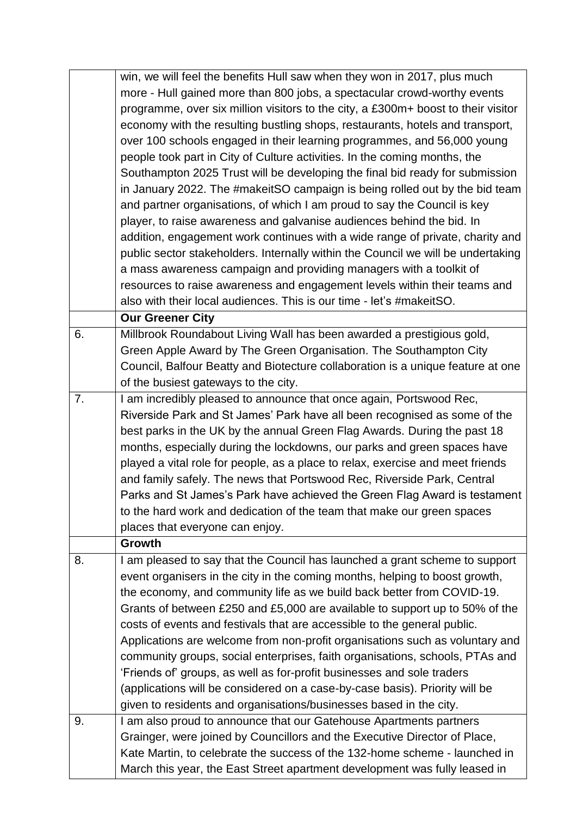|    | win, we will feel the benefits Hull saw when they won in 2017, plus much          |
|----|-----------------------------------------------------------------------------------|
|    | more - Hull gained more than 800 jobs, a spectacular crowd-worthy events          |
|    | programme, over six million visitors to the city, a £300m+ boost to their visitor |
|    | economy with the resulting bustling shops, restaurants, hotels and transport,     |
|    | over 100 schools engaged in their learning programmes, and 56,000 young           |
|    | people took part in City of Culture activities. In the coming months, the         |
|    | Southampton 2025 Trust will be developing the final bid ready for submission      |
|    | in January 2022. The #makeitSO campaign is being rolled out by the bid team       |
|    | and partner organisations, of which I am proud to say the Council is key          |
|    | player, to raise awareness and galvanise audiences behind the bid. In             |
|    | addition, engagement work continues with a wide range of private, charity and     |
|    | public sector stakeholders. Internally within the Council we will be undertaking  |
|    | a mass awareness campaign and providing managers with a toolkit of                |
|    | resources to raise awareness and engagement levels within their teams and         |
|    | also with their local audiences. This is our time - let's #makeitSO.              |
|    | <b>Our Greener City</b>                                                           |
| 6. | Millbrook Roundabout Living Wall has been awarded a prestigious gold,             |
|    | Green Apple Award by The Green Organisation. The Southampton City                 |
|    | Council, Balfour Beatty and Biotecture collaboration is a unique feature at one   |
|    | of the busiest gateways to the city.                                              |
| 7. | I am incredibly pleased to announce that once again, Portswood Rec,               |
|    | Riverside Park and St James' Park have all been recognised as some of the         |
|    | best parks in the UK by the annual Green Flag Awards. During the past 18          |
|    | months, especially during the lockdowns, our parks and green spaces have          |
|    | played a vital role for people, as a place to relax, exercise and meet friends    |
|    | and family safely. The news that Portswood Rec, Riverside Park, Central           |
|    | Parks and St James's Park have achieved the Green Flag Award is testament         |
|    | to the hard work and dedication of the team that make our green spaces            |
|    | places that everyone can enjoy.                                                   |
|    | Growth                                                                            |
| 8. | I am pleased to say that the Council has launched a grant scheme to support       |
|    | event organisers in the city in the coming months, helping to boost growth,       |
|    | the economy, and community life as we build back better from COVID-19.            |
|    | Grants of between £250 and £5,000 are available to support up to 50% of the       |
|    | costs of events and festivals that are accessible to the general public.          |
|    | Applications are welcome from non-profit organisations such as voluntary and      |
|    | community groups, social enterprises, faith organisations, schools, PTAs and      |
|    | 'Friends of' groups, as well as for-profit businesses and sole traders            |
|    | (applications will be considered on a case-by-case basis). Priority will be       |
|    |                                                                                   |
|    | given to residents and organisations/businesses based in the city.                |
| 9. | I am also proud to announce that our Gatehouse Apartments partners                |
|    | Grainger, were joined by Councillors and the Executive Director of Place,         |
|    | Kate Martin, to celebrate the success of the 132-home scheme - launched in        |
|    | March this year, the East Street apartment development was fully leased in        |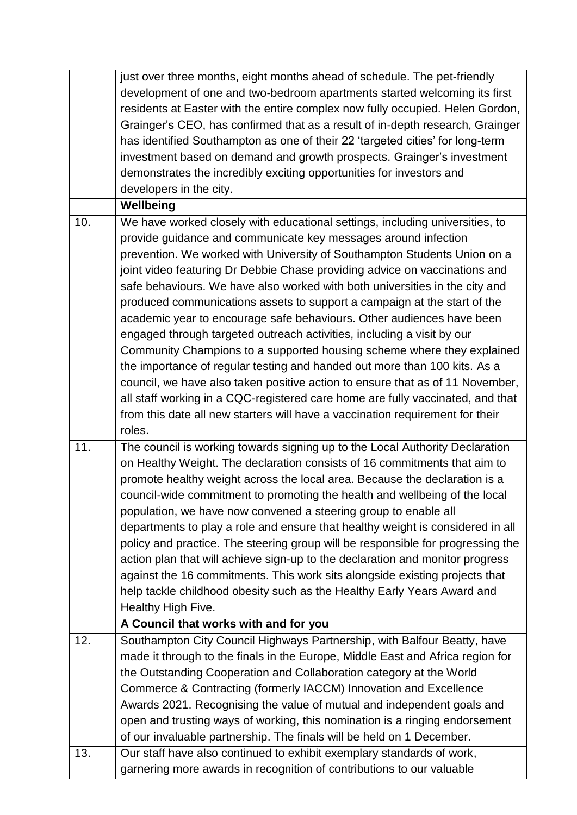|     | just over three months, eight months ahead of schedule. The pet-friendly        |
|-----|---------------------------------------------------------------------------------|
|     | development of one and two-bedroom apartments started welcoming its first       |
|     | residents at Easter with the entire complex now fully occupied. Helen Gordon,   |
|     | Grainger's CEO, has confirmed that as a result of in-depth research, Grainger   |
|     | has identified Southampton as one of their 22 'targeted cities' for long-term   |
|     | investment based on demand and growth prospects. Grainger's investment          |
|     | demonstrates the incredibly exciting opportunities for investors and            |
|     | developers in the city.                                                         |
|     | Wellbeing                                                                       |
| 10. | We have worked closely with educational settings, including universities, to    |
|     | provide guidance and communicate key messages around infection                  |
|     | prevention. We worked with University of Southampton Students Union on a        |
|     | joint video featuring Dr Debbie Chase providing advice on vaccinations and      |
|     | safe behaviours. We have also worked with both universities in the city and     |
|     | produced communications assets to support a campaign at the start of the        |
|     | academic year to encourage safe behaviours. Other audiences have been           |
|     | engaged through targeted outreach activities, including a visit by our          |
|     | Community Champions to a supported housing scheme where they explained          |
|     | the importance of regular testing and handed out more than 100 kits. As a       |
|     | council, we have also taken positive action to ensure that as of 11 November,   |
|     | all staff working in a CQC-registered care home are fully vaccinated, and that  |
|     | from this date all new starters will have a vaccination requirement for their   |
|     | roles.                                                                          |
| 11. | The council is working towards signing up to the Local Authority Declaration    |
|     | on Healthy Weight. The declaration consists of 16 commitments that aim to       |
|     | promote healthy weight across the local area. Because the declaration is a      |
|     | council-wide commitment to promoting the health and wellbeing of the local      |
|     | population, we have now convened a steering group to enable all                 |
|     | departments to play a role and ensure that healthy weight is considered in all  |
|     | policy and practice. The steering group will be responsible for progressing the |
|     | action plan that will achieve sign-up to the declaration and monitor progress   |
|     | against the 16 commitments. This work sits alongside existing projects that     |
|     | help tackle childhood obesity such as the Healthy Early Years Award and         |
|     | Healthy High Five.                                                              |
|     | A Council that works with and for you                                           |
| 12. | Southampton City Council Highways Partnership, with Balfour Beatty, have        |
|     | made it through to the finals in the Europe, Middle East and Africa region for  |
|     | the Outstanding Cooperation and Collaboration category at the World             |
|     | Commerce & Contracting (formerly IACCM) Innovation and Excellence               |
|     | Awards 2021. Recognising the value of mutual and independent goals and          |
|     | open and trusting ways of working, this nomination is a ringing endorsement     |
|     | of our invaluable partnership. The finals will be held on 1 December.           |
| 13. | Our staff have also continued to exhibit exemplary standards of work,           |
|     | garnering more awards in recognition of contributions to our valuable           |